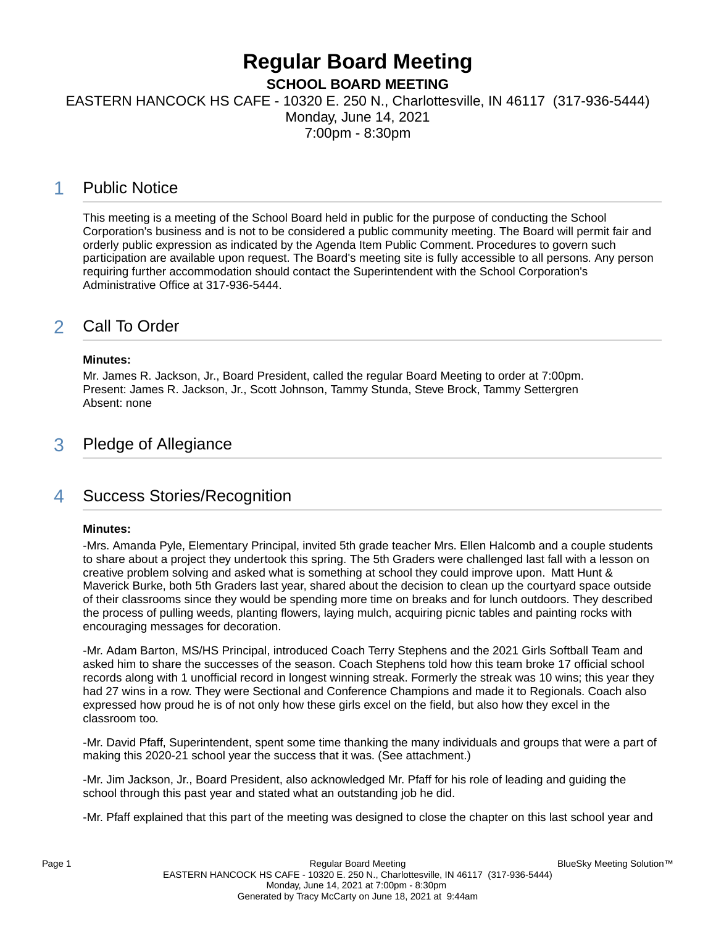## **Regular Board Meeting SCHOOL BOARD MEETING**

EASTERN HANCOCK HS CAFE - 10320 E. 250 N., Charlottesville, IN 46117 (317-936-5444) Monday, June 14, 2021

7:00pm - 8:30pm

## 1 Public Notice

This meeting is a meeting of the School Board held in public for the purpose of conducting the School Corporation's business and is not to be considered a public community meeting. The Board will permit fair and orderly public expression as indicated by the Agenda Item Public Comment. Procedures to govern such participation are available upon request. The Board's meeting site is fully accessible to all persons. Any person requiring further accommodation should contact the Superintendent with the School Corporation's Administrative Office at 317-936-5444.

## 2 Call To Order

### **Minutes:**

Mr. James R. Jackson, Jr., Board President, called the regular Board Meeting to order at 7:00pm. Present: James R. Jackson, Jr., Scott Johnson, Tammy Stunda, Steve Brock, Tammy Settergren Absent: none

## 3 Pledge of Allegiance

## 4 Success Stories/Recognition

### **Minutes:**

-Mrs. Amanda Pyle, Elementary Principal, invited 5th grade teacher Mrs. Ellen Halcomb and a couple students to share about a project they undertook this spring. The 5th Graders were challenged last fall with a lesson on creative problem solving and asked what is something at school they could improve upon. Matt Hunt & Maverick Burke, both 5th Graders last year, shared about the decision to clean up the courtyard space outside of their classrooms since they would be spending more time on breaks and for lunch outdoors. They described the process of pulling weeds, planting flowers, laying mulch, acquiring picnic tables and painting rocks with encouraging messages for decoration.

-Mr. Adam Barton, MS/HS Principal, introduced Coach Terry Stephens and the 2021 Girls Softball Team and asked him to share the successes of the season. Coach Stephens told how this team broke 17 official school records along with 1 unofficial record in longest winning streak. Formerly the streak was 10 wins; this year they had 27 wins in a row. They were Sectional and Conference Champions and made it to Regionals. Coach also expressed how proud he is of not only how these girls excel on the field, but also how they excel in the classroom too.

-Mr. David Pfaff, Superintendent, spent some time thanking the many individuals and groups that were a part of making this 2020-21 school year the success that it was. (See attachment.)

-Mr. Jim Jackson, Jr., Board President, also acknowledged Mr. Pfaff for his role of leading and guiding the school through this past year and stated what an outstanding job he did.

-Mr. Pfaff explained that this part of the meeting was designed to close the chapter on this last school year and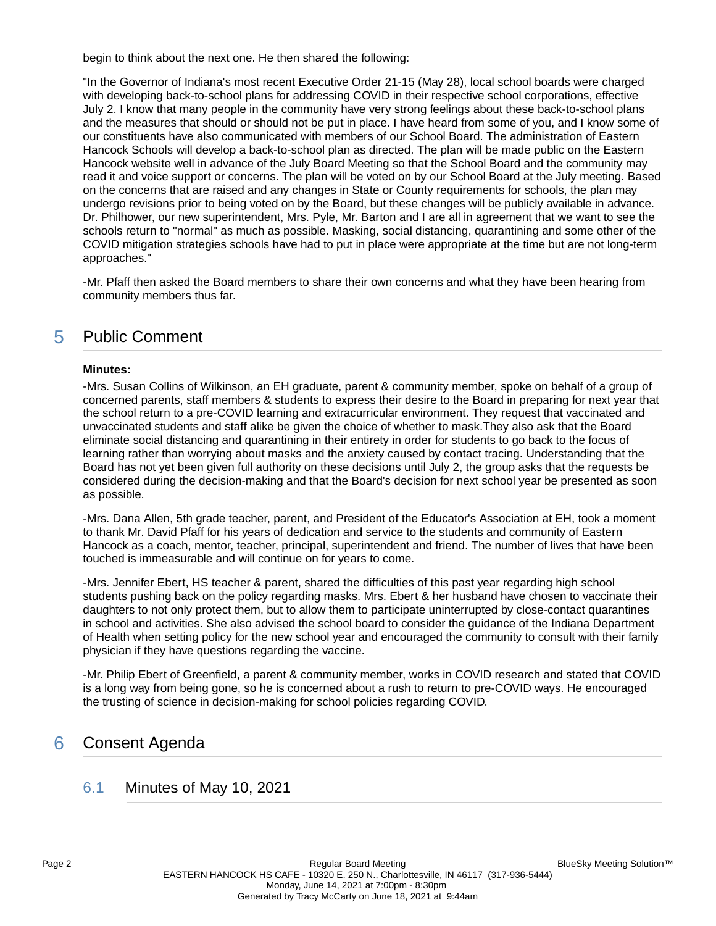begin to think about the next one. He then shared the following:

"In the Governor of Indiana's most recent Executive Order 21-15 (May 28), local school boards were charged with developing back-to-school plans for addressing COVID in their respective school corporations, effective July 2. I know that many people in the community have very strong feelings about these back-to-school plans and the measures that should or should not be put in place. I have heard from some of you, and I know some of our constituents have also communicated with members of our School Board. The administration of Eastern Hancock Schools will develop a back-to-school plan as directed. The plan will be made public on the Eastern Hancock website well in advance of the July Board Meeting so that the School Board and the community may read it and voice support or concerns. The plan will be voted on by our School Board at the July meeting. Based on the concerns that are raised and any changes in State or County requirements for schools, the plan may undergo revisions prior to being voted on by the Board, but these changes will be publicly available in advance. Dr. Philhower, our new superintendent, Mrs. Pyle, Mr. Barton and I are all in agreement that we want to see the schools return to "normal" as much as possible. Masking, social distancing, quarantining and some other of the COVID mitigation strategies schools have had to put in place were appropriate at the time but are not long-term approaches."

-Mr. Pfaff then asked the Board members to share their own concerns and what they have been hearing from community members thus far.

## 5 Public Comment

### **Minutes:**

-Mrs. Susan Collins of Wilkinson, an EH graduate, parent & community member, spoke on behalf of a group of concerned parents, staff members & students to express their desire to the Board in preparing for next year that the school return to a pre-COVID learning and extracurricular environment. They request that vaccinated and unvaccinated students and staff alike be given the choice of whether to mask.They also ask that the Board eliminate social distancing and quarantining in their entirety in order for students to go back to the focus of learning rather than worrying about masks and the anxiety caused by contact tracing. Understanding that the Board has not yet been given full authority on these decisions until July 2, the group asks that the requests be considered during the decision-making and that the Board's decision for next school year be presented as soon as possible.

-Mrs. Dana Allen, 5th grade teacher, parent, and President of the Educator's Association at EH, took a moment to thank Mr. David Pfaff for his years of dedication and service to the students and community of Eastern Hancock as a coach, mentor, teacher, principal, superintendent and friend. The number of lives that have been touched is immeasurable and will continue on for years to come.

-Mrs. Jennifer Ebert, HS teacher & parent, shared the difficulties of this past year regarding high school students pushing back on the policy regarding masks. Mrs. Ebert & her husband have chosen to vaccinate their daughters to not only protect them, but to allow them to participate uninterrupted by close-contact quarantines in school and activities. She also advised the school board to consider the guidance of the Indiana Department of Health when setting policy for the new school year and encouraged the community to consult with their family physician if they have questions regarding the vaccine.

-Mr. Philip Ebert of Greenfield, a parent & community member, works in COVID research and stated that COVID is a long way from being gone, so he is concerned about a rush to return to pre-COVID ways. He encouraged the trusting of science in decision-making for school policies regarding COVID.

# 6 Consent Agenda

## 6.1 Minutes of May 10, 2021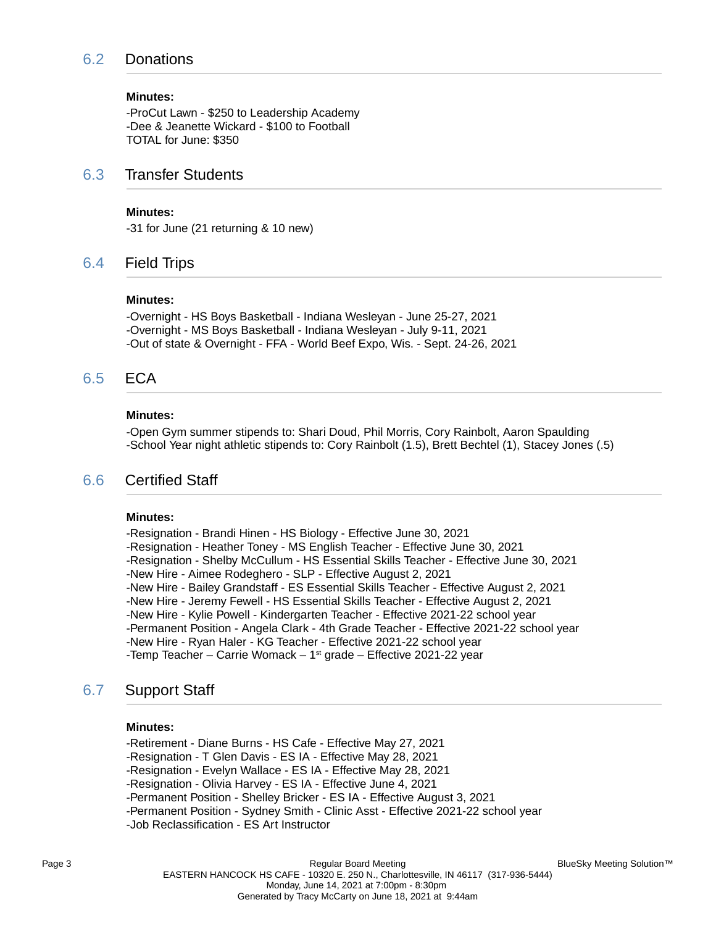## 6.2 Donations

#### **Minutes:**

-ProCut Lawn - \$250 to Leadership Academy -Dee & Jeanette Wickard - \$100 to Football TOTAL for June: \$350

### 6.3 Transfer Students

### **Minutes:**

-31 for June (21 returning & 10 new)

### 6.4 Field Trips

#### **Minutes:**

-Overnight - HS Boys Basketball - Indiana Wesleyan - June 25-27, 2021 -Overnight - MS Boys Basketball - Indiana Wesleyan - July 9-11, 2021 -Out of state & Overnight - FFA - World Beef Expo, Wis. - Sept. 24-26, 2021

### 6.5 ECA

#### **Minutes:**

-Open Gym summer stipends to: Shari Doud, Phil Morris, Cory Rainbolt, Aaron Spaulding -School Year night athletic stipends to: Cory Rainbolt (1.5), Brett Bechtel (1), Stacey Jones (.5)

### 6.6 Certified Staff

#### **Minutes:**

-Resignation - Brandi Hinen - HS Biology - Effective June 30, 2021 -Resignation - Heather Toney - MS English Teacher - Effective June 30, 2021 -Resignation - Shelby McCullum - HS Essential Skills Teacher - Effective June 30, 2021 -New Hire - Aimee Rodeghero - SLP - Effective August 2, 2021 -New Hire - Bailey Grandstaff - ES Essential Skills Teacher - Effective August 2, 2021 -New Hire - Jeremy Fewell - HS Essential Skills Teacher - Effective August 2, 2021 -New Hire - Kylie Powell - Kindergarten Teacher - Effective 2021-22 school year -Permanent Position - Angela Clark - 4th Grade Teacher - Effective 2021-22 school year -New Hire - Ryan Haler - KG Teacher - Effective 2021-22 school year -Temp Teacher – Carrie Womack –  $1<sup>st</sup>$  grade – Effective 2021-22 year

### 6.7 Support Staff

### **Minutes:**

-Retirement - Diane Burns - HS Cafe - Effective May 27, 2021 -Resignation - T Glen Davis - ES IA - Effective May 28, 2021 -Resignation - Evelyn Wallace - ES IA - Effective May 28, 2021 -Resignation - Olivia Harvey - ES IA - Effective June 4, 2021 -Permanent Position - Shelley Bricker - ES IA - Effective August 3, 2021 -Permanent Position - Sydney Smith - Clinic Asst - Effective 2021-22 school year -Job Reclassification - ES Art Instructor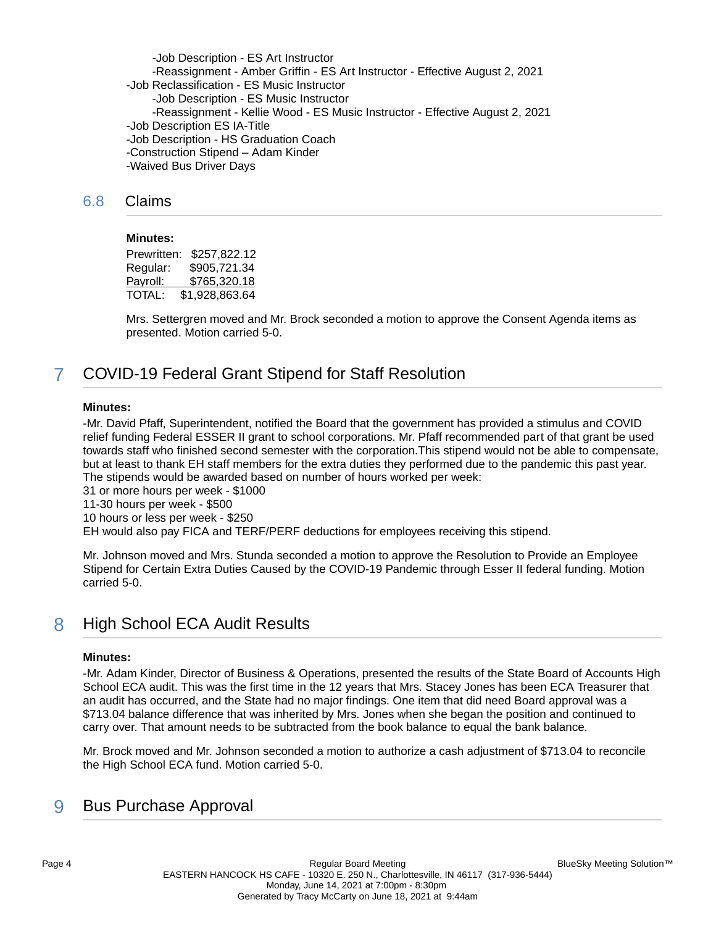-Job Description - ES Art Instructor -Reassignment - Amber Griffin - ES Art Instructor - Effective August 2, 2021 -Job Reclassification - ES Music Instructor -Job Description - ES Music Instructor -Reassignment - Kellie Wood - ES Music Instructor - Effective August 2, 2021 -Job Description ES IA-Title -Job Description - HS Graduation Coach -Construction Stipend – Adam Kinder -Waived Bus Driver Days

### 6.8 Claims

#### **Minutes:**

Prewritten: \$257,822.12 Regular: \$905,721.34 Payroll: \$765,320.18<br>TOTAL: \$1,928,863.64 \$1,928,863.64

Mrs. Settergren moved and Mr. Brock seconded a motion to approve the Consent Agenda items as presented. Motion carried 5-0.

## 7 COVID-19 Federal Grant Stipend for Staff Resolution

#### **Minutes:**

-Mr. David Pfaff, Superintendent, notified the Board that the government has provided a stimulus and COVID relief funding Federal ESSER II grant to school corporations. Mr. Pfaff recommended part of that grant be used towards staff who finished second semester with the corporation.This stipend would not be able to compensate, but at least to thank EH staff members for the extra duties they performed due to the pandemic this past year. The stipends would be awarded based on number of hours worked per week:

31 or more hours per week - \$1000

11-30 hours per week - \$500

10 hours or less per week - \$250

EH would also pay FICA and TERF/PERF deductions for employees receiving this stipend.

Mr. Johnson moved and Mrs. Stunda seconded a motion to approve the Resolution to Provide an Employee Stipend for Certain Extra Duties Caused by the COVID-19 Pandemic through Esser II federal funding. Motion carried 5-0.

## 8 High School ECA Audit Results

#### **Minutes:**

-Mr. Adam Kinder, Director of Business & Operations, presented the results of the State Board of Accounts High School ECA audit. This was the first time in the 12 years that Mrs. Stacey Jones has been ECA Treasurer that an audit has occurred, and the State had no major findings. One item that did need Board approval was a \$713.04 balance difference that was inherited by Mrs. Jones when she began the position and continued to carry over. That amount needs to be subtracted from the book balance to equal the bank balance.

Mr. Brock moved and Mr. Johnson seconded a motion to authorize a cash adjustment of \$713.04 to reconcile the High School ECA fund. Motion carried 5-0.

## 9 Bus Purchase Approval

BlueSky Meeting Solution™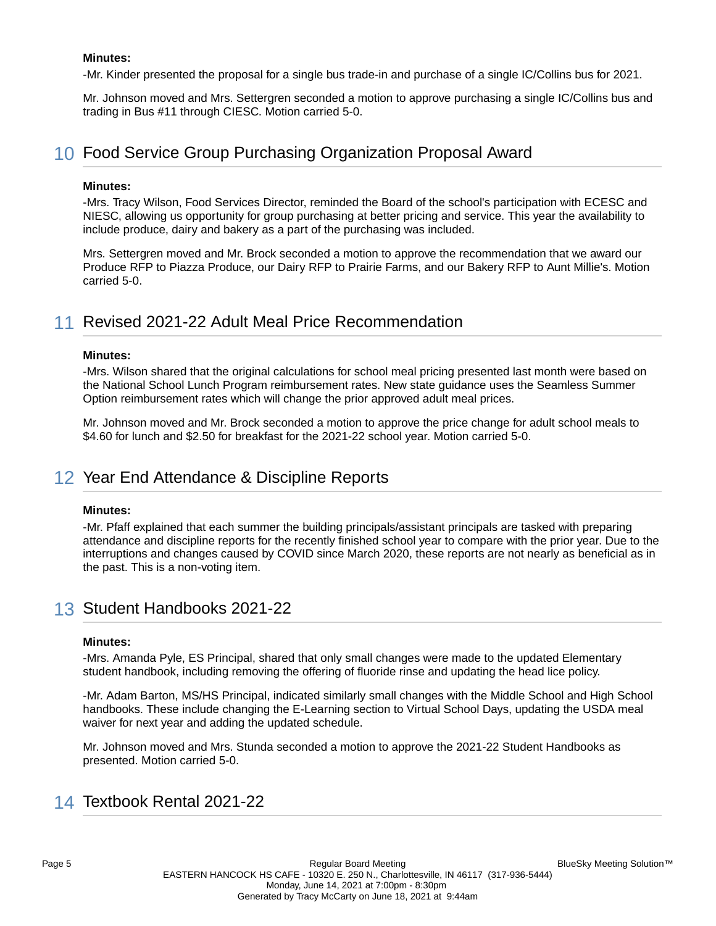### **Minutes:**

-Mr. Kinder presented the proposal for a single bus trade-in and purchase of a single IC/Collins bus for 2021.

Mr. Johnson moved and Mrs. Settergren seconded a motion to approve purchasing a single IC/Collins bus and trading in Bus #11 through CIESC. Motion carried 5-0.

## 10 Food Service Group Purchasing Organization Proposal Award

### **Minutes:**

-Mrs. Tracy Wilson, Food Services Director, reminded the Board of the school's participation with ECESC and NIESC, allowing us opportunity for group purchasing at better pricing and service. This year the availability to include produce, dairy and bakery as a part of the purchasing was included.

Mrs. Settergren moved and Mr. Brock seconded a motion to approve the recommendation that we award our Produce RFP to Piazza Produce, our Dairy RFP to Prairie Farms, and our Bakery RFP to Aunt Millie's. Motion carried 5-0.

## 11 Revised 2021-22 Adult Meal Price Recommendation

### **Minutes:**

-Mrs. Wilson shared that the original calculations for school meal pricing presented last month were based on the National School Lunch Program reimbursement rates. New state guidance uses the Seamless Summer Option reimbursement rates which will change the prior approved adult meal prices.

Mr. Johnson moved and Mr. Brock seconded a motion to approve the price change for adult school meals to \$4.60 for lunch and \$2.50 for breakfast for the 2021-22 school year. Motion carried 5-0.

## 12 Year End Attendance & Discipline Reports

#### **Minutes:**

-Mr. Pfaff explained that each summer the building principals/assistant principals are tasked with preparing attendance and discipline reports for the recently finished school year to compare with the prior year. Due to the interruptions and changes caused by COVID since March 2020, these reports are not nearly as beneficial as in the past. This is a non-voting item.

## 13 Student Handbooks 2021-22

#### **Minutes:**

-Mrs. Amanda Pyle, ES Principal, shared that only small changes were made to the updated Elementary student handbook, including removing the offering of fluoride rinse and updating the head lice policy.

-Mr. Adam Barton, MS/HS Principal, indicated similarly small changes with the Middle School and High School handbooks. These include changing the E-Learning section to Virtual School Days, updating the USDA meal waiver for next year and adding the updated schedule.

Mr. Johnson moved and Mrs. Stunda seconded a motion to approve the 2021-22 Student Handbooks as presented. Motion carried 5-0.

## 14 Textbook Rental 2021-22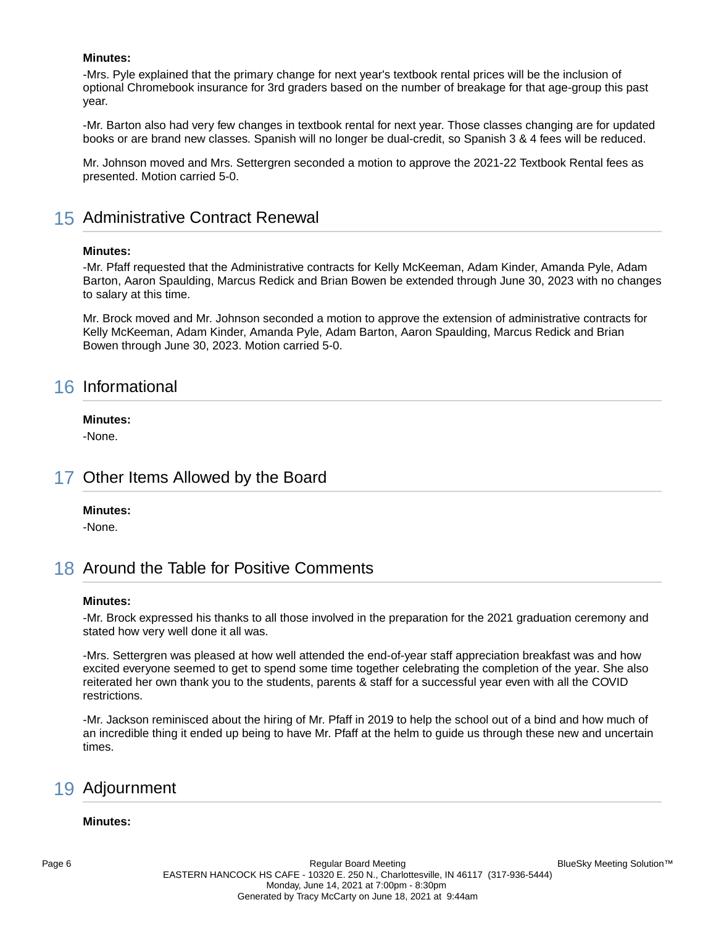### **Minutes:**

-Mrs. Pyle explained that the primary change for next year's textbook rental prices will be the inclusion of optional Chromebook insurance for 3rd graders based on the number of breakage for that age-group this past year.

-Mr. Barton also had very few changes in textbook rental for next year. Those classes changing are for updated books or are brand new classes. Spanish will no longer be dual-credit, so Spanish 3 & 4 fees will be reduced.

Mr. Johnson moved and Mrs. Settergren seconded a motion to approve the 2021-22 Textbook Rental fees as presented. Motion carried 5-0.

## 15 Administrative Contract Renewal

#### **Minutes:**

-Mr. Pfaff requested that the Administrative contracts for Kelly McKeeman, Adam Kinder, Amanda Pyle, Adam Barton, Aaron Spaulding, Marcus Redick and Brian Bowen be extended through June 30, 2023 with no changes to salary at this time.

Mr. Brock moved and Mr. Johnson seconded a motion to approve the extension of administrative contracts for Kelly McKeeman, Adam Kinder, Amanda Pyle, Adam Barton, Aaron Spaulding, Marcus Redick and Brian Bowen through June 30, 2023. Motion carried 5-0.

## 16 Informational

### **Minutes:**

-None.

## 17 Other Items Allowed by the Board

### **Minutes:**

-None.

## 18 Around the Table for Positive Comments

#### **Minutes:**

-Mr. Brock expressed his thanks to all those involved in the preparation for the 2021 graduation ceremony and stated how very well done it all was.

-Mrs. Settergren was pleased at how well attended the end-of-year staff appreciation breakfast was and how excited everyone seemed to get to spend some time together celebrating the completion of the year. She also reiterated her own thank you to the students, parents & staff for a successful year even with all the COVID restrictions.

-Mr. Jackson reminisced about the hiring of Mr. Pfaff in 2019 to help the school out of a bind and how much of an incredible thing it ended up being to have Mr. Pfaff at the helm to guide us through these new and uncertain times.

## 19 Adjournment

#### **Minutes:**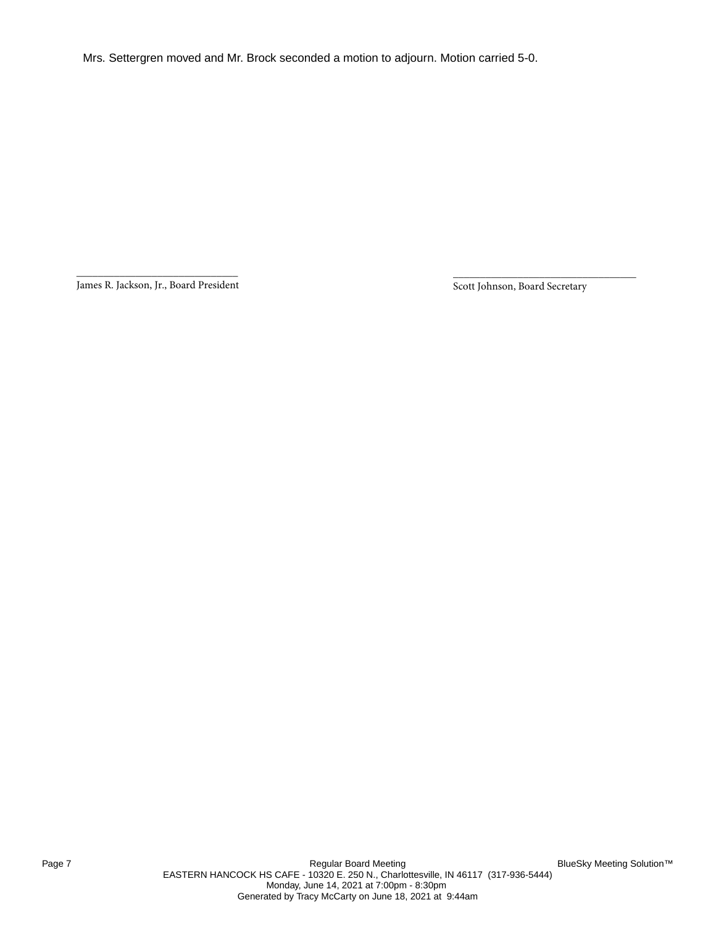Mrs. Settergren moved and Mr. Brock seconded a motion to adjourn. Motion carried 5-0.

\_\_\_\_\_\_\_\_\_\_\_\_\_\_\_\_\_\_\_\_\_\_\_\_\_\_\_\_\_\_ James R. Jackson, Jr., Board President

Scott Johnson, Board Secretary

\_\_\_\_\_\_\_\_\_\_\_\_\_\_\_\_\_\_\_\_\_\_\_\_\_\_\_\_\_\_\_\_\_\_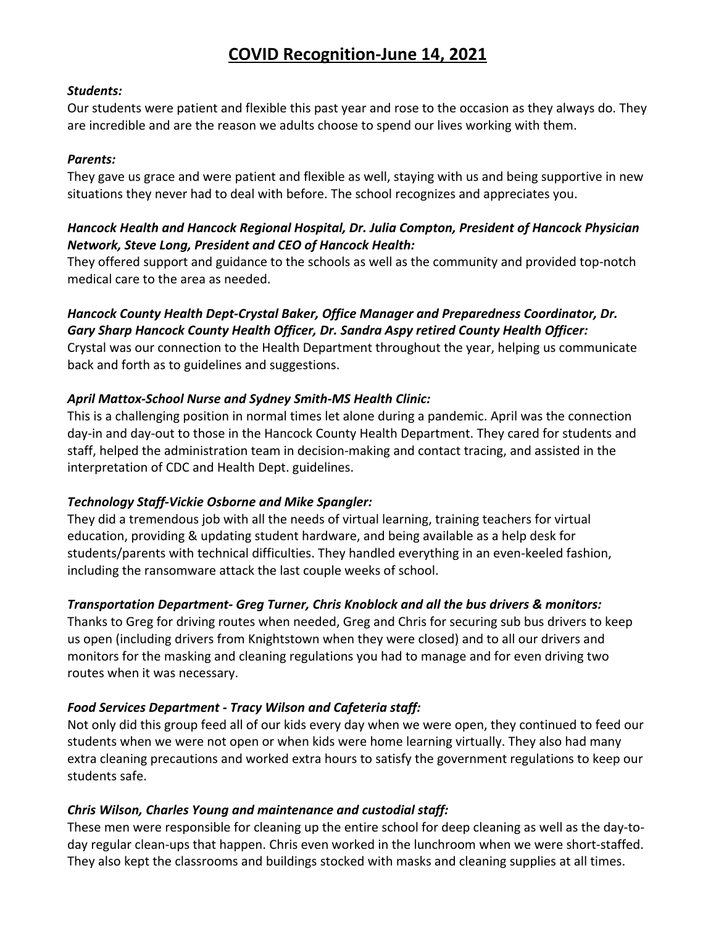# **COVID Recognition‐June 14, 2021**

### *Students:*

Our students were patient and flexible this past year and rose to the occasion as they always do. They are incredible and are the reason we adults choose to spend our lives working with them.

### *Parents:*

They gave us grace and were patient and flexible as well, staying with us and being supportive in new situations they never had to deal with before. The school recognizes and appreciates you.

## *Hancock Health and Hancock Regional Hospital, Dr. Julia Compton, President of Hancock Physician Network, Steve Long, President and CEO of Hancock Health:*

They offered support and guidance to the schools as well as the community and provided top‐notch medical care to the area as needed.

## *Hancock County Health Dept‐Crystal Baker, Office Manager and Preparedness Coordinator, Dr. Gary Sharp Hancock County Health Officer, Dr. Sandra Aspy retired County Health Officer:*

Crystal was our connection to the Health Department throughout the year, helping us communicate back and forth as to guidelines and suggestions.

## *April Mattox‐School Nurse and Sydney Smith‐MS Health Clinic:*

This is a challenging position in normal times let alone during a pandemic. April was the connection day‐in and day‐out to those in the Hancock County Health Department. They cared for students and staff, helped the administration team in decision‐making and contact tracing, and assisted in the interpretation of CDC and Health Dept. guidelines.

## *Technology Staff‐Vickie Osborne and Mike Spangler:*

They did a tremendous job with all the needs of virtual learning, training teachers for virtual education, providing & updating student hardware, and being available as a help desk for students/parents with technical difficulties. They handled everything in an even‐keeled fashion, including the ransomware attack the last couple weeks of school.

## *Transportation Department‐ Greg Turner, Chris Knoblock and all the bus drivers & monitors:*

Thanks to Greg for driving routes when needed, Greg and Chris for securing sub bus drivers to keep us open (including drivers from Knightstown when they were closed) and to all our drivers and monitors for the masking and cleaning regulations you had to manage and for even driving two routes when it was necessary.

## *Food Services Department ‐ Tracy Wilson and Cafeteria staff:*

Not only did this group feed all of our kids every day when we were open, they continued to feed our students when we were not open or when kids were home learning virtually. They also had many extra cleaning precautions and worked extra hours to satisfy the government regulations to keep our students safe.

## *Chris Wilson, Charles Young and maintenance and custodial staff:*

These men were responsible for cleaning up the entire school for deep cleaning as well as the day‐to‐ day regular clean‐ups that happen. Chris even worked in the lunchroom when we were short‐staffed. They also kept the classrooms and buildings stocked with masks and cleaning supplies at all times.